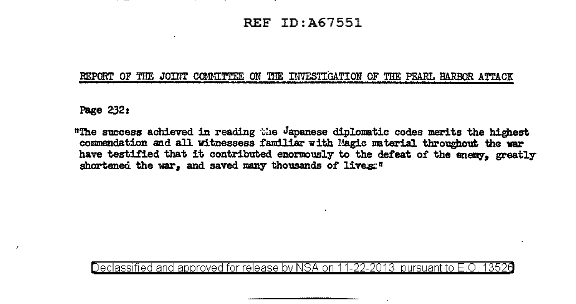## REF ID:A67551

## REPORT OF THE JOINT COMMITTEE ON THE INVESTIGATION OF THE PEARL HARBOR ATTACK

Page 2.32:

"The success achieved in reading the Japanese diplomatic codes merits the highest commendation and all witnessess familiar with Magic material throughout the war have testified that it contributed enormously to the defeat of the enemy, greatly shortened the war, and saved many thousands of lives:"

Declassified and approved for release by NSA on 11-22-2013 pursuant to E .0. 1352a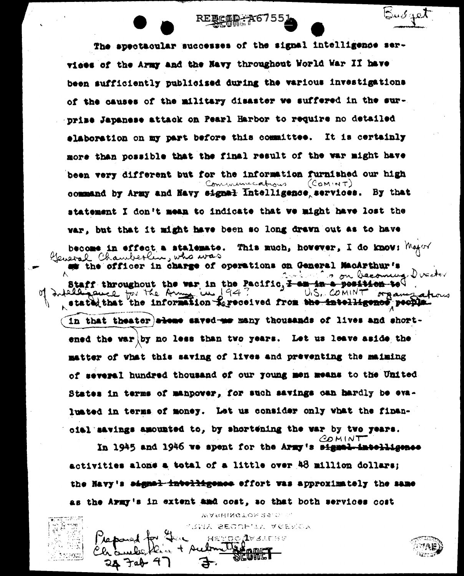The spectacular successes of the signal intelligence services of the Army and the Navy throughout World War II have been sufficiently publicised during the various investigations of the causes of the military disaster we suffered in the surprime Japanese attack on Pearl Harbor to require no detailed elaboration on my part before this committee. It is certainly more than possible that the final result of the war might have been very different but for the information furnished our high  $(Comint)$ Communications command by Army and Navy signal Intelligence services. By that statement I don't mean to indicate that we might have lost the var, but that it might have been so long drawn out as to have become in effect a stalemate. This much, however, I do know:  $M_{\text{H}}$ or Cleveral Chamberlin, who was the officer in charge of operations on General MacArthur's o on becoming Director Staff throughout the war in the Pacific, I am in a position to Intellinguich for the Army in 194 U.S. COMINT organizations stated that the information Repeccived from the intelligence people. in that theater alone saved-me many thousands of lives and shortened the war by no less than two years. Let us leave aside the matter of what this saving of lives and preventing the maiming of several hundred thousand of our young men means to the United. States in terms of manpower, for such savings can hardly be evalunted in terms of money. Let us consider only what the finanoial savings amounted to, by shortening the war by two years.  $CO$ MINT

RERCAM 26755

 $\mathbb{S}$ u $\sigma$ qet

In 1945 and 1946 we spent for the Army's signal-intelligence activities alone a total of a little over 48 million dollars; the Navy's aignal intelligence effort was approximately the same as the Army's in extent and cost, so that both services cost

> WASHINGTON 25.0. C. YUNA SECOPIA VEERDA HETOO IV SLEBE

> > <u>இரேமார் 1</u>

+ Aubon like

28 Tab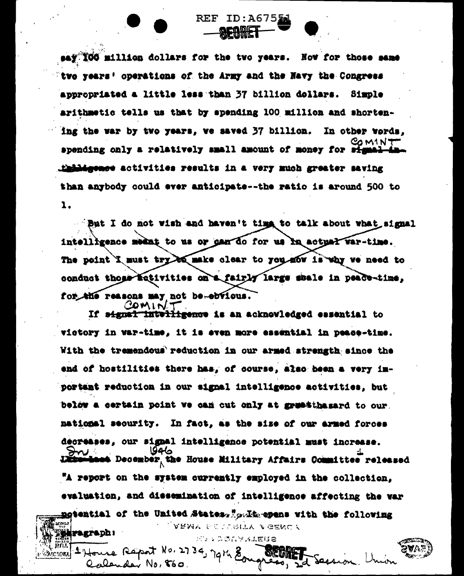say 100 million dollars for the two years. How for those same twe years' operations of the Army and the Navy the Congress appropriated a little less than 37 billion dollars. Simple arithmetic tells us that by spending 100 million and shortening the war by two years, we saved 37 billion. In other words. 30 M I N T spending only a relatively small amount of money for sta thindepence activities results in a very much greater saving than anybody could ever anticipate--the ratio is around 500 to  $\lambda.$ 

REF ID:A6755

But I do not wish and haven't time to talk about what signal intelligence meant to us or gan do for us in actual var-time. The point I must try be make clear to you now is why we need to conduct those ectivities on a fairly large shale in peace-time, for the reasons may not be-ebvious. COMINT

If signal intelligence is an acknowledged essential to victory in war-time, it is even more essential in peace-time. With the tremendous reduction in our armed strength since the end of hostilities there has, of course, also been a very important reduction in our signal intelligence activities, but below a certain point we can cut only at gruntibagard to our. mational security. In fact, as the size of our armed forces decreases, our signal intelligence potential must increase. at December the House Military Affairs Committee released "A report on the system currently employed in the collection. evaluation, and dissemination of intelligence affecting the var notential of the United States. Soulte opens with the following ARMY SENTIRITY AGENCY **Were graph** : パティ ふのムマ 3 小田は8

ገሪነኣ

 $x^{+}$   $x^{0}$ ,  $27$   $34$ ,

Calcude No, 860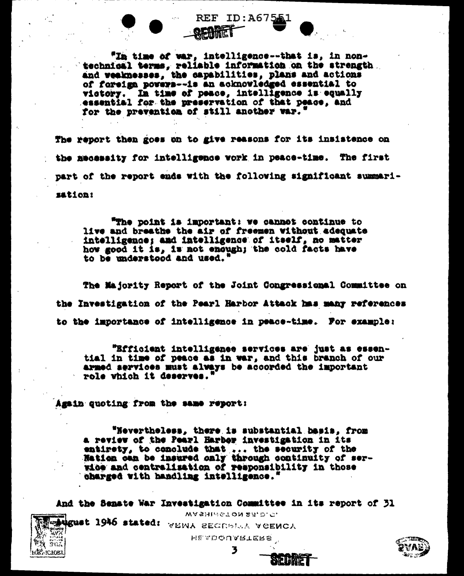"In time of war, intelligence--that is, in nontechnical terms, reliable information on the strength and weaknesses, the capabilities, plans and actions of foreign powers--is an acknowledged essential to victory. In time of peace, intelligence is equally essential for the preservation of that peace, and for the prevention of still another war.'

REF ID:A675A

The report then goes on to give reasons for its insistence on the mecassity for intelligence work in peace-time. The first part of the report ends with the following significant summarisation:

"The point is important: we cannot continue to live and breathe the air of freemen without adequate intelligence; and intelligence of itself, no matter how good it is, is not enough; the cold facts have to be understood and used."

The Majority Report of the Joint Congressional Committee on the Investigation of the Pearl Harbor Attack has many references to the importance of intelligence in peace-time. For example:

"Efficient intelligence services are just as essential in time of peace as in war, and this branch of our armed services must always be accorded the important role which it deserves.

Again quoting from the same report:

**EQST ICTORY** 

"Nevertheless, there is substantial basis, from a review of the Pearl Harbor investigation in its entirety, to conclude that ... the security of the Nation can be insured only through continuity of serwice and centralisation of responsibility in those charged with handling intelligence.'

And the Senate War Investigation Committee in its report of 31 WASHMGTON 25.D.C. **Exigust 1946 stated:** WEINA SECRETAR VOENCA HE ADOUARTERS 3

SIQUIME

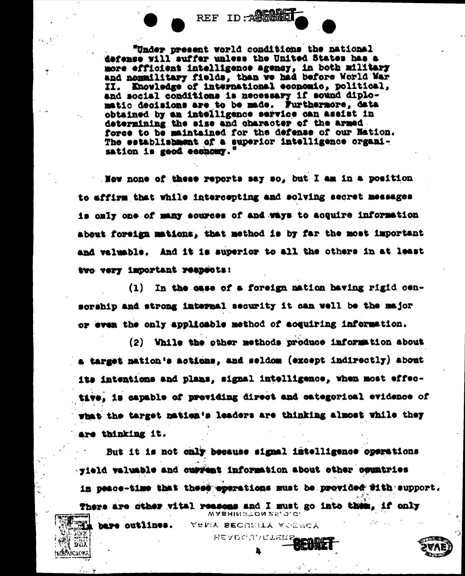"Under present world conditions the national defense will suffer unless the United States has a more efficient intelligence agency, in both military and nommilitary fields, than we had before World War II. Enovledge of international economic, political, and social conditions is necessary if sound diplomatic decisions are to be made. Furthermore, data obtained by an intelligence service can assist in determining the size and character of the armed. force to be maintained for the defense of our Nation. The establishment of a superior intelligence organisation is good economy.'

REF ID: ACOME

Now none of these reports say so, but I am in a position to affirm that while intercepting and solving secret messages is only one of many sources of and ways to acquire information about foreign mations, that method is by far the most important and valuable. And it is superior to all the others in at least two very important reapsots:

In the case of a foreign nation having rigid cen- $(1)$ sorship and strong intermal security it can well be the major or even the only applicable method of acquiring information.

(2) While the other methods produce information about a target nation's actions, and seldom (except indirectly) about its intentions and plans, signal intelligence, when most effective, is capable of previding direct and categorical evidence of what the target nation's leaders are thinking almost while they are thinking it.

But it is not only because signal intelligence operations sield valuable and current information about other countries in peace-time that these eperations must be provided fith support. There are dther withl reasons and I must go into them. if only

WASHINGTON 25, 0.G.

YEMA SECRELA VOEWCA HEADGUANETER

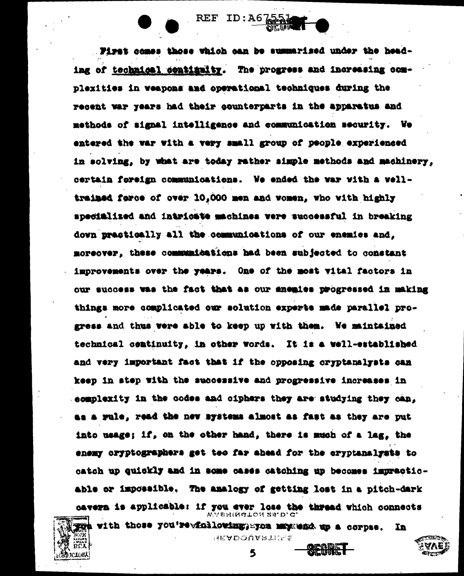First comes those which can be summarised under the heading of technical continuity. The progress and increasing complexities in weapons and operational techniques during the recent war years had their counterparts in the apparatus and methods of signal intelligence and communication security. We entered the war with a very small group of people experienced in solving, by what are today rather simple methods and machinery, certain foreign communications. We ended the war with a welltrained ferce of over 10.000 men and women, who with highly specialized and intricate machines vere successful in breaking down prastically all the communications of our enemies and. moreover, these communications had been subjected to constant improvements over the years. One of the most vital factors in our success was the fact that as our enemies progressed in making things more complicated our solution experts made parallel progress and thus vere able to keep up with them. We maintained technical comtinuity, in other words. It is a well-established and very important fact that if the opposing cryptanalysts can keep in step with the successive and progressive increases in acmplexity in the codes and ciphers they are studying they can. aa a rule, read the new systems almost as fast as they are put into usage; if, on the other hand, there is much of a lag, the enemy cryptographers get teo far ahead for the cryptanalysts to catch up quickly and in some cases catching up becomes impracticable or impossible. The analogy of getting lost in a pitch-dark cavern is applicable: if you ever lose the thread which connects

REF ID: A67



**HEADOUARTILLS** 

5

In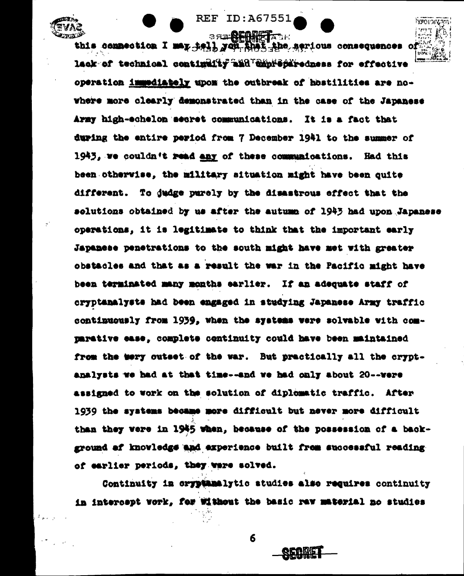**BREADER AT ALL** this connection I may hell you that the serious consequences lack of technical continuity and chorechiredness for effective operation immediately upon the outbreak of hostilities are nowhere more clearly demonstrated than in the case of the Japanese Army high-echelon secret communications. It is a fact that during the entire period from 7 December 1941 to the summer of 1943, we couldn't read any of these communications. Had this been otherwise, the military situation might have been quite different. To dudge parely by the disastrous effect that the solutions obtained by us after the autumn of 1943 had upon Japanese operations, it is legitimate to think that the important early Japanese penetrations to the south might have met with greater obstacles and that as a result the war in the Pacific might have been terminated many months earlier. If an adequate staff of cryptanalyste had been engaged in studying Japanese Army traffic continuously from 1939, when the systems were solvable with comparative ease, complete continuity could have been maintained from the wery outset of the war. But practically all the cryptanalysts we had at that time--and we had only about 20--were assigned to work on the solution of diplomatic traffic. After 1939 the systems became more difficult but never more difficult than they were in 1945 when, because of the possession of a background of knovledge and experience built frem successful reading of earlier periods, they ware solved.

**REF ID: A67551** 

**LABOL** JL

Continuity in oryptanalytic studies also requires continuity in intercept vork. for without the basic ray material no studies

6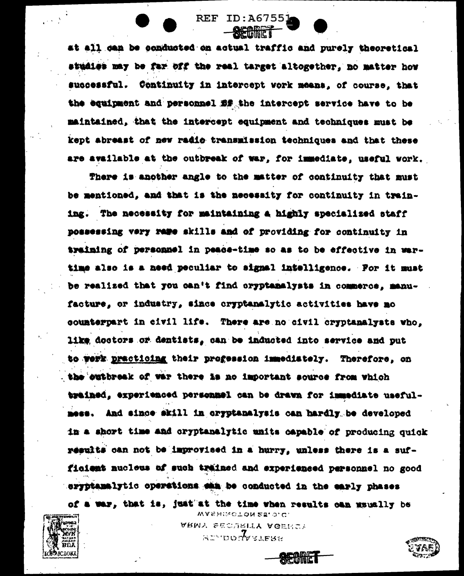at all can be conducted on actual traffic and purely theoretical studies may be far off the real target altogether, no matter how successful. Continuity in intercept work means, of course, that the equipment and personnel *fif* the intercept service have to be maintained, that the intercept equipment and techniques must be kept abreast of new radio transmission techniques and that these are available at the outbreak of war, for immediate, useful work.

**REF ID:A67551** 

There is another angle to the matter of continuity that must be mentioned, and that is the necessity for continuity in training. The necessity for maintaining a highly specialized staff possessing very rape skills and of providing for continuity in training of personnel in peace-time so as to be effective in wartime also is a need peculiar to signal intelligence. For it must be realized that you can't find oryptanalysts in commerce, manufacture, or industry, since cryptanalytic activities have no counterpart in civil life. There are no civil cryptanalysts who, like doctors or dentists, can be inducted into service and put to werk practicing their progession immediately. Therefore, on the outbreak of war there is no important source from which trained, experienced personnel can be drawn for immediate usefulmess. And since skill in cryptanalysis can hardly be developed in a short time and cryptanalytic units capable of producing quick results can not be improvised in a hurry, unless there is a sufficient nucleus of such trained and experienced personnel no good sryptamalytic operations sam be conducted in the early phases

of a war, that is, just at the time when results can mauslly be WASHINGTON 25, 0.C.

> ARMY SECURITY AGENCY **ALL'DUNGELERY**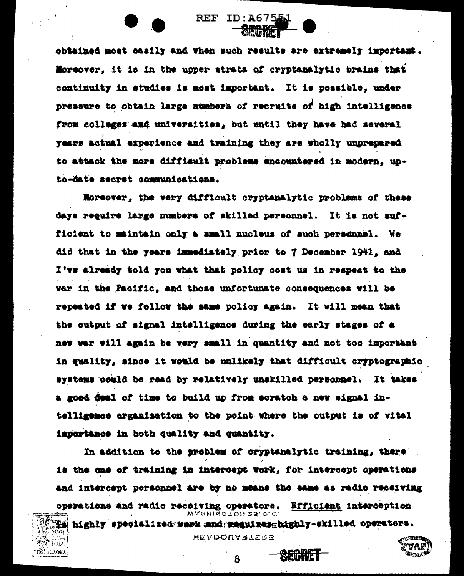obtained most easily and when such results are extremely important. Moreover, it is in the upper strata of cryptamalytic brains that continuity in studies is most important. It is possible, under pressure to obtain large numbers of recruits of high intelligence from colleges and universities, but until they have had several years actual experience and training they are wholly unprepared to attack the more difficult problems encountered in modern, upto-date secret communications.

REF ID:A6755J

SECRET

Moreover, the very difficult cryptanalytic problems of these days require large numbers of skilled personnel. It is not sufficient to maintain only a small nucleus of such personnel. **Ne** did that in the years immediately prior to 7 December 1941, and I've already told you what that policy cost us in respect to the war in the Pacific, and those unfortunate consequences will be repeated if we follow the same policy again. It will mean that the output of signal intelligence during the early stages of a new war will again be very small in quantity and not too important in quality, since it would be unlikely that difficult cryptographic systems could be read by relatively unskilled personnel. It takes a good deal of time to build up from soratch a new signal intelligence arganisation to the point where the output is of vital importance in both quality and quantity.

In addition to the problem of oryptanalytic training, there is the one of training in intercept work, for intercept operations and intercept personnel are by no means the same as radio receiving operations and radio receiving operators. Efficient interception WARHINGTON 25.0.G <u>ii highly specialized merk mad meguines highly-skilled operators.</u>

**HEADQUARTERS** 

8

SECRET

රතියෝරාගැ

27 A

فيستقلك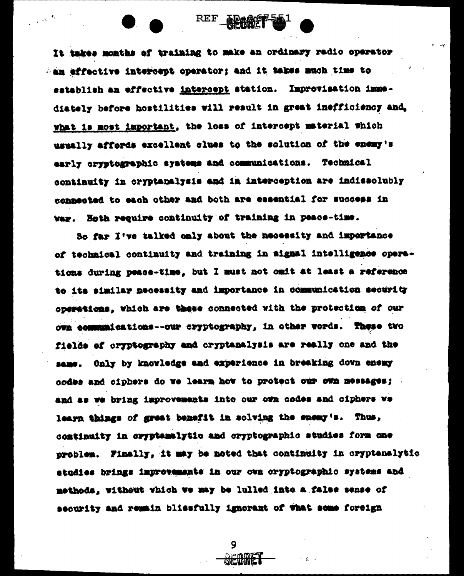It takes months of training to make an ordinary radio operator An effective intercept operator; and it takes much time to establish an effective intercept station. Improvisation immediately before hostilities will result in great inefficiency and. what is most important, the loss of intercept material which usually affords excellent clues to the solution of the enemy's early cryptographic systems and communications. Technical continuity in cryptanalysis and in interception are indissolubly connected to each other and both are essential for success in war. Both require continuity of training in peace-time.

REF ARAGO

 $\sim 2^{-3}$ 

So far I've talked only about the necessity and importance of technical continuity and training in signal intelligence operations during peace-time, but I must not omit at least a reference to its similar necessity and importance in communication security operations, which are these connected with the protection of our own communications--our cryptography, in other words. These two fields of cryptography and cryptanalysis are really one and the same. Only by knowledge and experience in breaking down enemy codes and ciphers do we learn how to protect our own messages; and as we bring improvements into our own codes and ciphers ve learn things of great benefit in solving the enemy's. Thus, continuity in cryptanalytic and cryptographic studies form one problem. Finally, it may be noted that continuity in cryptenalytic studies brings improvements in our own cryptographic systems and methods, without which we may be lulled into a false sense of security and remain blissfully ignorant of what some foreign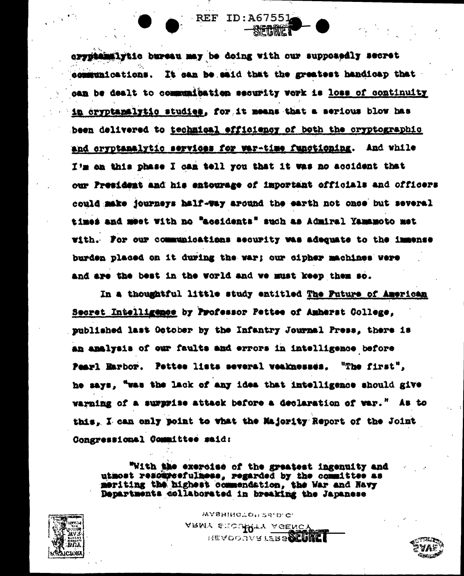cryptamalytic bureau may be doing with our supposedly secret communications. It can be said that the greatest handicap that can be dealt to communication security vork is loss of continuity in cryptanalytic studies, for it means that a serious blow has been delivered to technical efficiency of both the cryptographic and cryptanalytic services for war-time functioning. And while I'm on this phase I can tell you that it was no accident that our President and his entourage of important officials and officers could make journeys half-way around the earth not once but several times and meet with no "accidents" such as Admiral Yamamoto met with. For our communications security was adequate to the immense burden placed on it during the war; our cipher machines were and are the best in the world and we must keep them so.

**REF ID:A67551** 

STETHERIET

In a thoughtful little study entitled The Puture of American Secret Intelligence by Professor Pettee of Amherst College, published last October by the Infantry Journal Press, there is an analysis of our faults and errors in intelligence before Pearl Harbor. Pettee lists several veaknesses. "The first", he says, "was the lack of any idea that intelligence should give warning of a surprise attack before a declaration of war." As to this. I can only point to what the Majority Report of the Joint Congressional Committee said:

"With the exercise of the greatest ingenuity and utmost resourcefulness, regarded by the committee as meriting the highest commendation, the War and Navy Departments collaborated in breaking the Japanese

> WASHINGTON 25.D.C. ARMY STOUTTY AGENCY HEADQUARTERS SCIENT



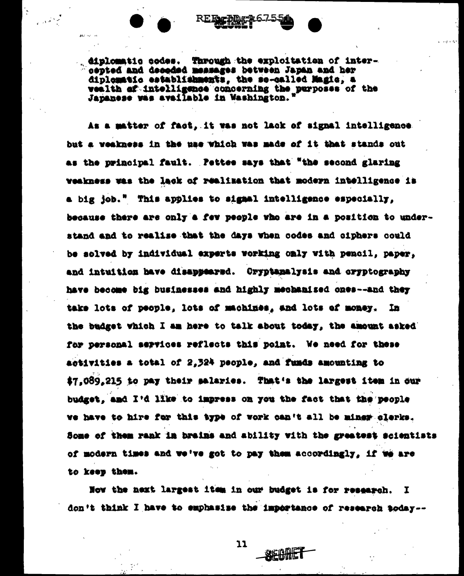

diplomatic codes. Through the exploitation of intercepted and decoded messages between Japan and her diplomatic establishments, the so-called Magic, a vealth of intelligence concerning the purposes of the Japanese was available in Washington.

As a matter of fact, it was not lack of signal intelligence but a veakness in the use which was made of it that stands out as the principal fault. Pettee says that "the second glaring weakness was the lack of realization that modern intelligence is a big job." This applies to signal intelligence especially, because there are only a few people who are in a position to understand and to realise that the days when codes and ciphers could be solved by individual experts working only with pencil, paper, and intuition have disappeared. Oryptanalysis and oryptography have become big businesses and highly mechanised ones--and they take lots of people. lots of machines, and lots of money. **In** the budget which I am here to talk about today, the amount asked for personal services reflects this point. We need for these activities a total of 2.324 people. and funds amounting to \$7.089.215 to pay their salaries. That's the largest item in our budget, and I'd like to impress on you the fact that the people we have to hire for this type of work can't all be miner clerks. Some of them rank in brains and ability with the greatest scientists of modern times and we've got to pay them accordingly, if we are to keep them.

Now the next largest itsm in our budget is for research. I don't think I have to emphasise the importance of research today--

11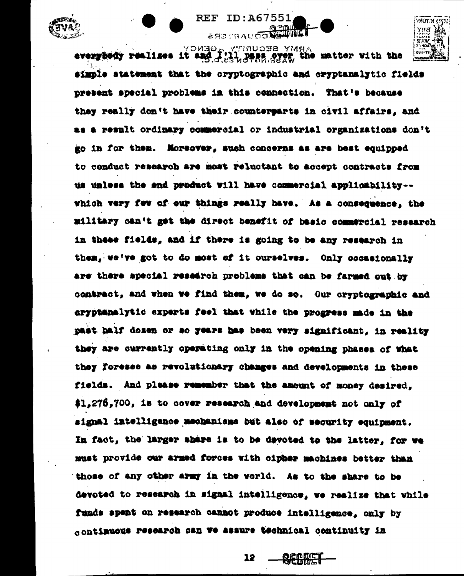

everybedy realises it and I'll numerates what with the simple statement that the cryptographic and cryptanalytic fields present special problems in this connection. That's because they really don't have their counterearts in civil affairs, and as a result ordinary commercial or industrial organizations don't go in for them. Moreover, such concerns as are best equipped to conduct research are most reluctant to accept contracts from us unless the end product will have commercial applicability -which very few of our things really have. As a consequence, the military can't get the direct benefit of basic commercial research in these fields, and if there is going to be any research in them. we've got to do most of it ourselves. Only occasionally are there special research problems that can be farmed out by contract, and when we find them, we do so. Our cryptographic and aryptanalytic experts feel that while the progress made in the past half dozen or so years has been very significant, in reality they are currently operating only in the opening phases of what they foresee as revolutionary changes and developments in these fields. And please remember that the amount of money desired. \$1,276,700, is to cover research and development not only of signal intelligence mechanisms but also of security equipment. In fact, the larger share is to be devoted to the latter, for we must provide our armed forces with cipher machines better than those of any other army in the world. As to the share to be devoted to research in signal intelligence, we realize that while funds spent on research cannot produce intelligence, only by continuous research can we assure technical continuity in

ID:A67551

SASTNAUOODEDING

**REF** 

12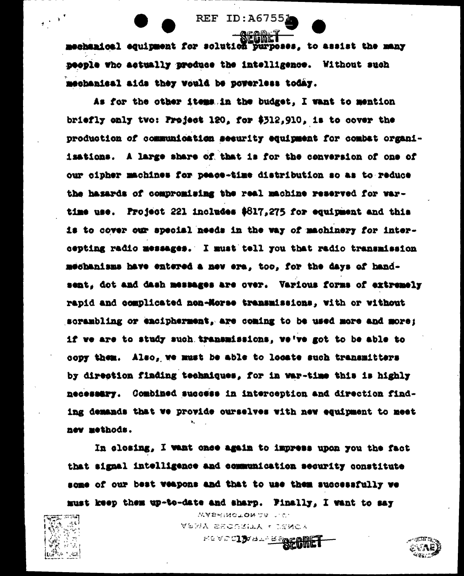mechanical equipment for solution purposes, to assist the many people who actually produce the intelligence. Without such mechanical aids they would be powerless today.

**REF ID: A6755** 

As for the other items in the budget. I want to mention briefly only two: Project 120, for \$312,910, is to cover the production of communication security equipment for combat organiisations. A large share of that is for the conversion of one of our cipher machines for peace-time distribution so as to reduce the hasards of compromising the real machine reserved for vartime use. Project 221 includes  $6817,275$  for equipment and this is to cover our special needs in the way of machinery for intercepting radio messages. I must tell you that radio transmission mechanisms have entered a new era, too, for the days of handsent, dot and dash messages are over. Various forms of extremely rapid and complicated non-Morse transmissions, with or without scrambling or encipherment, are coming to be used more and more; if we are to study such transmissions, we've got to be able to copy them. Also, we must be able to locate such transmitters by direction finding techniques, for in war-time this is highly necessary. Combined success in interception and direction finding demands that we provide ourselves with new equipment to meet new methods.

In closing, I want once again to impress upon you the fact that signal intelligence and communication security constitute some of our best weapons and that to use them successfully we must keep them up-to-date and sharp. Finally, I want to say

 $\frac{1}{2}$  ,  $\frac{1}{2}$ 

WASERGTON 25 T.C. **VERA ERCSSILA . ISMCA** 

PEVECIJVALPBREGIDE